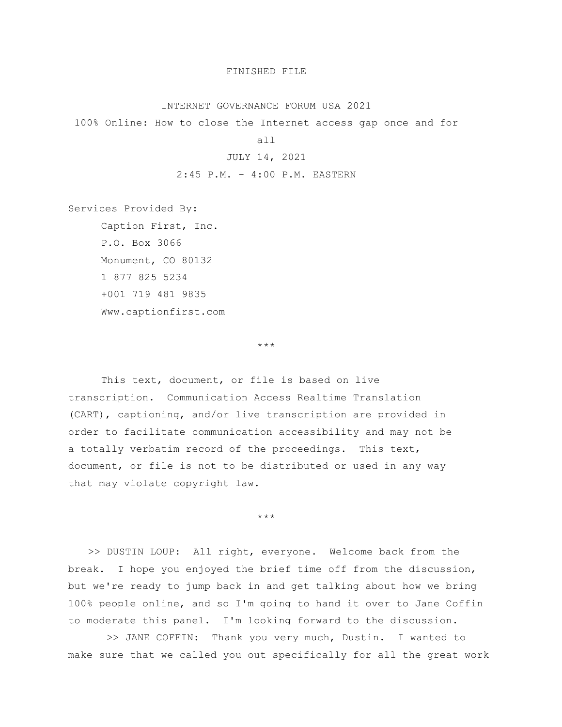## FINISHED FILE

## INTERNET GOVERNANCE FORUM USA 2021

100% Online: How to close the Internet access gap once and for

all

## JULY 14, 2021

2:45 P.M. - 4:00 P.M. EASTERN

Services Provided By:

Caption First, Inc. P.O. Box 3066 Monument, CO 80132 1 877 825 5234 +001 719 481 9835 Www.captionfirst.com

\*\*\*

This text, document, or file is based on live transcription. Communication Access Realtime Translation (CART), captioning, and/or live transcription are provided in order to facilitate communication accessibility and may not be a totally verbatim record of the proceedings. This text, document, or file is not to be distributed or used in any way that may violate copyright law.

\*\*\*

>> DUSTIN LOUP: All right, everyone. Welcome back from the break. I hope you enjoyed the brief time off from the discussion, but we're ready to jump back in and get talking about how we bring 100% people online, and so I'm going to hand it over to Jane Coffin to moderate this panel. I'm looking forward to the discussion.

>> JANE COFFIN: Thank you very much, Dustin. I wanted to make sure that we called you out specifically for all the great work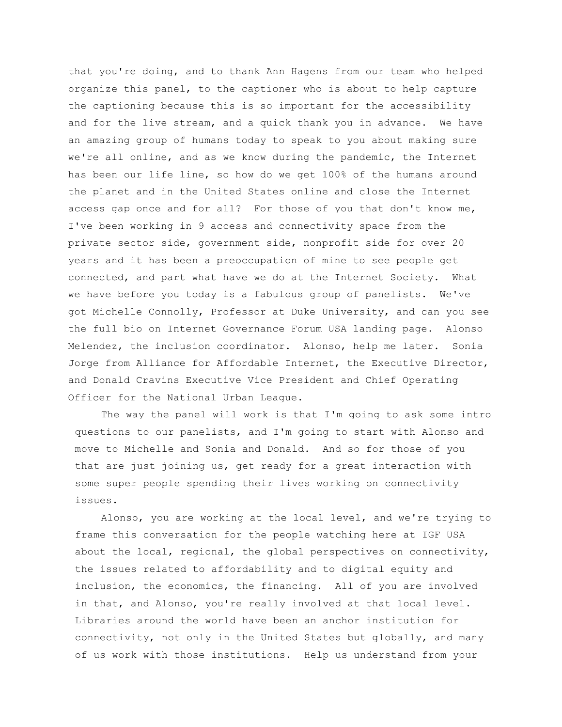that you're doing, and to thank Ann Hagens from our team who helped organize this panel, to the captioner who is about to help capture the captioning because this is so important for the accessibility and for the live stream, and a quick thank you in advance. We have an amazing group of humans today to speak to you about making sure we're all online, and as we know during the pandemic, the Internet has been our life line, so how do we get 100% of the humans around the planet and in the United States online and close the Internet access gap once and for all? For those of you that don't know me, I've been working in 9 access and connectivity space from the private sector side, government side, nonprofit side for over 20 years and it has been a preoccupation of mine to see people get connected, and part what have we do at the Internet Society. What we have before you today is a fabulous group of panelists. We've got Michelle Connolly, Professor at Duke University, and can you see the full bio on Internet Governance Forum USA landing page. Alonso Melendez, the inclusion coordinator. Alonso, help me later. Sonia Jorge from Alliance for Affordable Internet, the Executive Director, and Donald Cravins Executive Vice President and Chief Operating Officer for the National Urban League.

The way the panel will work is that I'm going to ask some intro questions to our panelists, and I'm going to start with Alonso and move to Michelle and Sonia and Donald. And so for those of you that are just joining us, get ready for a great interaction with some super people spending their lives working on connectivity issues.

Alonso, you are working at the local level, and we're trying to frame this conversation for the people watching here at IGF USA about the local, regional, the global perspectives on connectivity, the issues related to affordability and to digital equity and inclusion, the economics, the financing. All of you are involved in that, and Alonso, you're really involved at that local level. Libraries around the world have been an anchor institution for connectivity, not only in the United States but globally, and many of us work with those institutions. Help us understand from your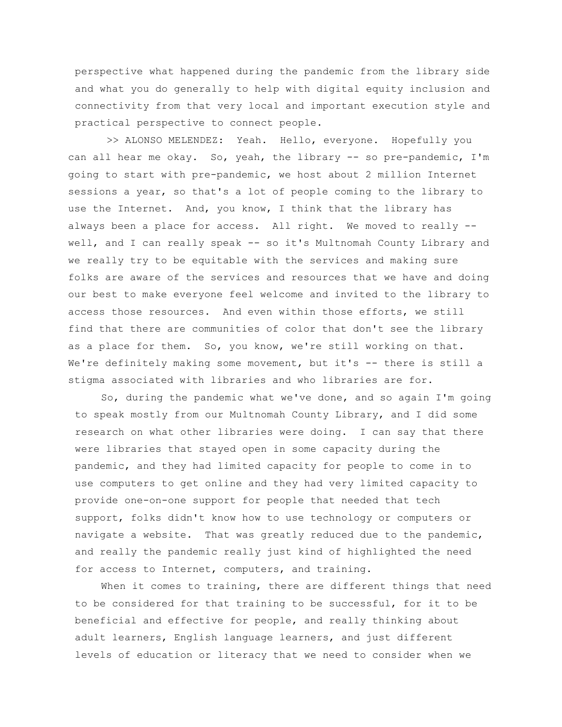perspective what happened during the pandemic from the library side and what you do generally to help with digital equity inclusion and connectivity from that very local and important execution style and practical perspective to connect people.

>> ALONSO MELENDEZ: Yeah. Hello, everyone. Hopefully you can all hear me okay. So, yeah, the library -- so pre-pandemic, I'm going to start with pre-pandemic, we host about 2 million Internet sessions a year, so that's a lot of people coming to the library to use the Internet. And, you know, I think that the library has always been a place for access. All right. We moved to really -well, and I can really speak -- so it's Multnomah County Library and we really try to be equitable with the services and making sure folks are aware of the services and resources that we have and doing our best to make everyone feel welcome and invited to the library to access those resources. And even within those efforts, we still find that there are communities of color that don't see the library as a place for them. So, you know, we're still working on that. We're definitely making some movement, but it's -- there is still a stigma associated with libraries and who libraries are for.

So, during the pandemic what we've done, and so again I'm going to speak mostly from our Multnomah County Library, and I did some research on what other libraries were doing. I can say that there were libraries that stayed open in some capacity during the pandemic, and they had limited capacity for people to come in to use computers to get online and they had very limited capacity to provide one-on-one support for people that needed that tech support, folks didn't know how to use technology or computers or navigate a website. That was greatly reduced due to the pandemic, and really the pandemic really just kind of highlighted the need for access to Internet, computers, and training.

When it comes to training, there are different things that need to be considered for that training to be successful, for it to be beneficial and effective for people, and really thinking about adult learners, English language learners, and just different levels of education or literacy that we need to consider when we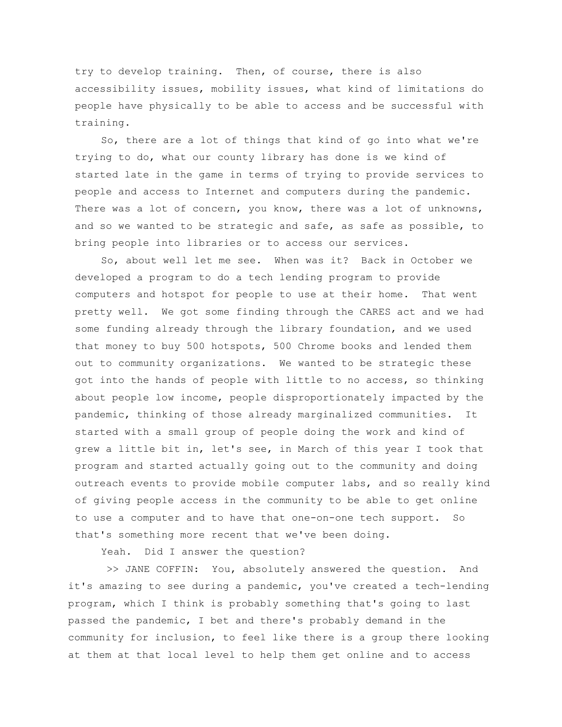try to develop training. Then, of course, there is also accessibility issues, mobility issues, what kind of limitations do people have physically to be able to access and be successful with training.

So, there are a lot of things that kind of go into what we're trying to do, what our county library has done is we kind of started late in the game in terms of trying to provide services to people and access to Internet and computers during the pandemic. There was a lot of concern, you know, there was a lot of unknowns, and so we wanted to be strategic and safe, as safe as possible, to bring people into libraries or to access our services.

So, about well let me see. When was it? Back in October we developed a program to do a tech lending program to provide computers and hotspot for people to use at their home. That went pretty well. We got some finding through the CARES act and we had some funding already through the library foundation, and we used that money to buy 500 hotspots, 500 Chrome books and lended them out to community organizations. We wanted to be strategic these got into the hands of people with little to no access, so thinking about people low income, people disproportionately impacted by the pandemic, thinking of those already marginalized communities. It started with a small group of people doing the work and kind of grew a little bit in, let's see, in March of this year I took that program and started actually going out to the community and doing outreach events to provide mobile computer labs, and so really kind of giving people access in the community to be able to get online to use a computer and to have that one-on-one tech support. So that's something more recent that we've been doing.

Yeah. Did I answer the question?

>> JANE COFFIN: You, absolutely answered the question. And it's amazing to see during a pandemic, you've created a tech-lending program, which I think is probably something that's going to last passed the pandemic, I bet and there's probably demand in the community for inclusion, to feel like there is a group there looking at them at that local level to help them get online and to access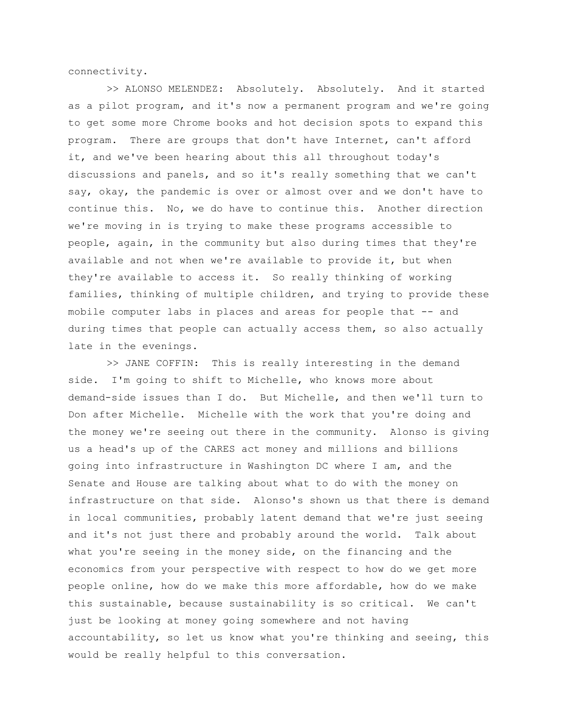connectivity.

>> ALONSO MELENDEZ: Absolutely. Absolutely. And it started as a pilot program, and it's now a permanent program and we're going to get some more Chrome books and hot decision spots to expand this program. There are groups that don't have Internet, can't afford it, and we've been hearing about this all throughout today's discussions and panels, and so it's really something that we can't say, okay, the pandemic is over or almost over and we don't have to continue this. No, we do have to continue this. Another direction we're moving in is trying to make these programs accessible to people, again, in the community but also during times that they're available and not when we're available to provide it, but when they're available to access it. So really thinking of working families, thinking of multiple children, and trying to provide these mobile computer labs in places and areas for people that -- and during times that people can actually access them, so also actually late in the evenings.

>> JANE COFFIN: This is really interesting in the demand side. I'm going to shift to Michelle, who knows more about demand-side issues than I do. But Michelle, and then we'll turn to Don after Michelle. Michelle with the work that you're doing and the money we're seeing out there in the community. Alonso is giving us a head's up of the CARES act money and millions and billions going into infrastructure in Washington DC where I am, and the Senate and House are talking about what to do with the money on infrastructure on that side. Alonso's shown us that there is demand in local communities, probably latent demand that we're just seeing and it's not just there and probably around the world. Talk about what you're seeing in the money side, on the financing and the economics from your perspective with respect to how do we get more people online, how do we make this more affordable, how do we make this sustainable, because sustainability is so critical. We can't just be looking at money going somewhere and not having accountability, so let us know what you're thinking and seeing, this would be really helpful to this conversation.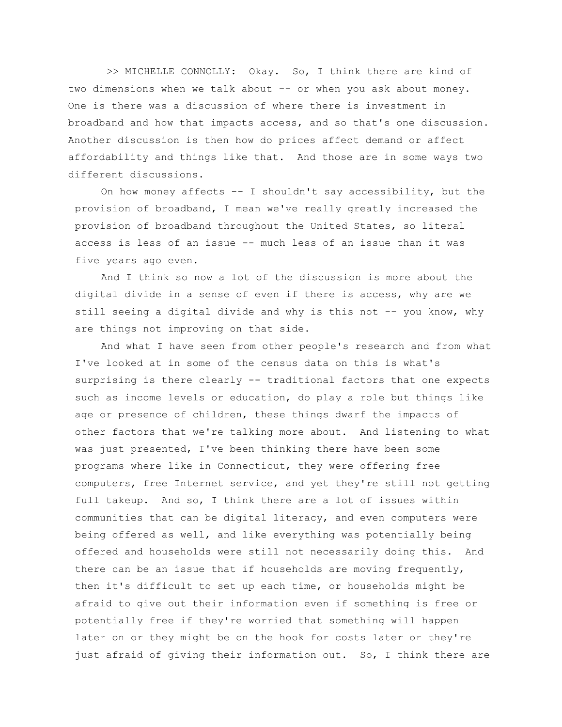>> MICHELLE CONNOLLY: Okay. So, I think there are kind of two dimensions when we talk about -- or when you ask about money. One is there was a discussion of where there is investment in broadband and how that impacts access, and so that's one discussion. Another discussion is then how do prices affect demand or affect affordability and things like that. And those are in some ways two different discussions.

On how money affects -- I shouldn't say accessibility, but the provision of broadband, I mean we've really greatly increased the provision of broadband throughout the United States, so literal access is less of an issue -- much less of an issue than it was five years ago even.

And I think so now a lot of the discussion is more about the digital divide in a sense of even if there is access, why are we still seeing a digital divide and why is this not -- you know, why are things not improving on that side.

And what I have seen from other people's research and from what I've looked at in some of the census data on this is what's surprising is there clearly -- traditional factors that one expects such as income levels or education, do play a role but things like age or presence of children, these things dwarf the impacts of other factors that we're talking more about. And listening to what was just presented, I've been thinking there have been some programs where like in Connecticut, they were offering free computers, free Internet service, and yet they're still not getting full takeup. And so, I think there are a lot of issues within communities that can be digital literacy, and even computers were being offered as well, and like everything was potentially being offered and households were still not necessarily doing this. And there can be an issue that if households are moving frequently, then it's difficult to set up each time, or households might be afraid to give out their information even if something is free or potentially free if they're worried that something will happen later on or they might be on the hook for costs later or they're just afraid of giving their information out. So, I think there are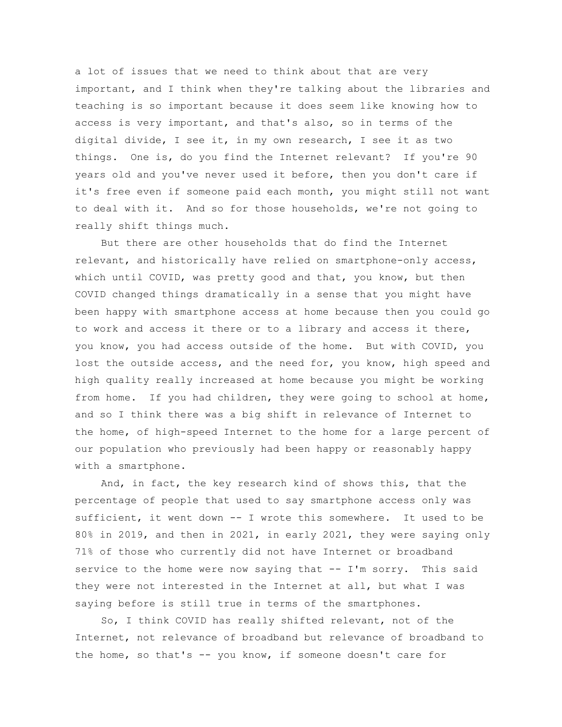a lot of issues that we need to think about that are very important, and I think when they're talking about the libraries and teaching is so important because it does seem like knowing how to access is very important, and that's also, so in terms of the digital divide, I see it, in my own research, I see it as two things. One is, do you find the Internet relevant? If you're 90 years old and you've never used it before, then you don't care if it's free even if someone paid each month, you might still not want to deal with it. And so for those households, we're not going to really shift things much.

But there are other households that do find the Internet relevant, and historically have relied on smartphone-only access, which until COVID, was pretty good and that, you know, but then COVID changed things dramatically in a sense that you might have been happy with smartphone access at home because then you could go to work and access it there or to a library and access it there, you know, you had access outside of the home. But with COVID, you lost the outside access, and the need for, you know, high speed and high quality really increased at home because you might be working from home. If you had children, they were going to school at home, and so I think there was a big shift in relevance of Internet to the home, of high-speed Internet to the home for a large percent of our population who previously had been happy or reasonably happy with a smartphone.

And, in fact, the key research kind of shows this, that the percentage of people that used to say smartphone access only was sufficient, it went down -- I wrote this somewhere. It used to be 80% in 2019, and then in 2021, in early 2021, they were saying only 71% of those who currently did not have Internet or broadband service to the home were now saying that -- I'm sorry. This said they were not interested in the Internet at all, but what I was saying before is still true in terms of the smartphones.

So, I think COVID has really shifted relevant, not of the Internet, not relevance of broadband but relevance of broadband to the home, so that's -- you know, if someone doesn't care for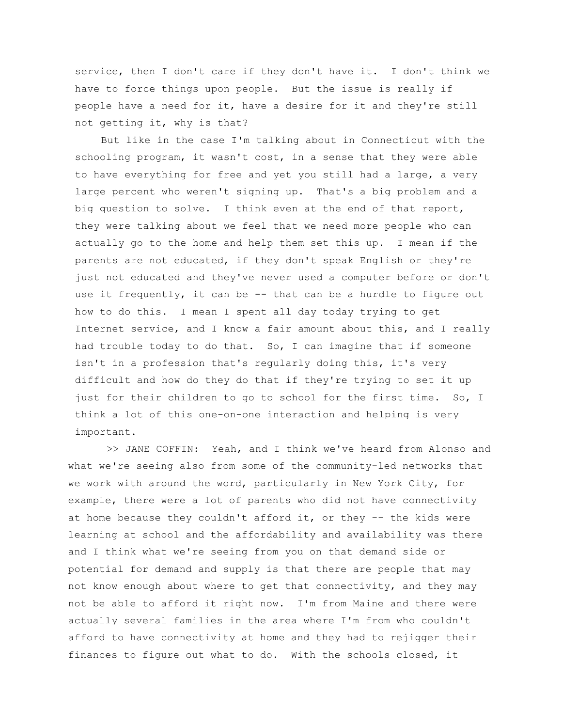service, then I don't care if they don't have it. I don't think we have to force things upon people. But the issue is really if people have a need for it, have a desire for it and they're still not getting it, why is that?

But like in the case I'm talking about in Connecticut with the schooling program, it wasn't cost, in a sense that they were able to have everything for free and yet you still had a large, a very large percent who weren't signing up. That's a big problem and a big question to solve. I think even at the end of that report, they were talking about we feel that we need more people who can actually go to the home and help them set this up. I mean if the parents are not educated, if they don't speak English or they're just not educated and they've never used a computer before or don't use it frequently, it can be -- that can be a hurdle to figure out how to do this. I mean I spent all day today trying to get Internet service, and I know a fair amount about this, and I really had trouble today to do that. So, I can imagine that if someone isn't in a profession that's regularly doing this, it's very difficult and how do they do that if they're trying to set it up just for their children to go to school for the first time. So, I think a lot of this one-on-one interaction and helping is very important.

>> JANE COFFIN: Yeah, and I think we've heard from Alonso and what we're seeing also from some of the community-led networks that we work with around the word, particularly in New York City, for example, there were a lot of parents who did not have connectivity at home because they couldn't afford it, or they -- the kids were learning at school and the affordability and availability was there and I think what we're seeing from you on that demand side or potential for demand and supply is that there are people that may not know enough about where to get that connectivity, and they may not be able to afford it right now. I'm from Maine and there were actually several families in the area where I'm from who couldn't afford to have connectivity at home and they had to rejigger their finances to figure out what to do. With the schools closed, it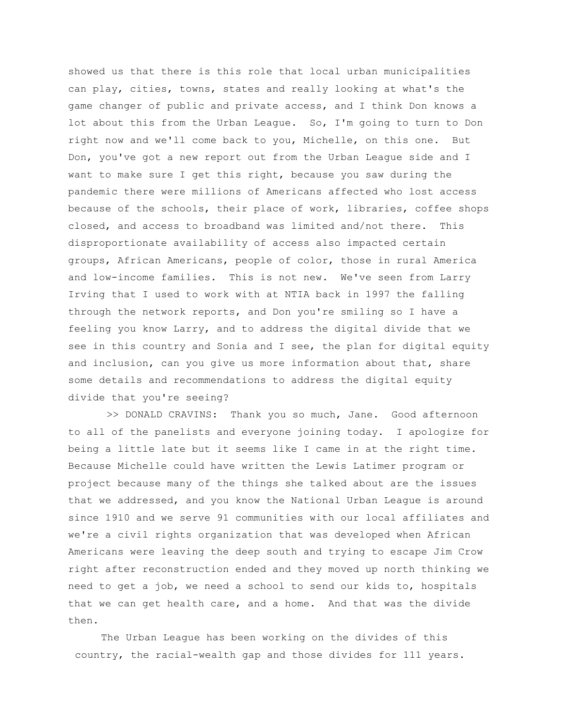showed us that there is this role that local urban municipalities can play, cities, towns, states and really looking at what's the game changer of public and private access, and I think Don knows a lot about this from the Urban League. So, I'm going to turn to Don right now and we'll come back to you, Michelle, on this one. But Don, you've got a new report out from the Urban League side and I want to make sure I get this right, because you saw during the pandemic there were millions of Americans affected who lost access because of the schools, their place of work, libraries, coffee shops closed, and access to broadband was limited and/not there. This disproportionate availability of access also impacted certain groups, African Americans, people of color, those in rural America and low-income families. This is not new. We've seen from Larry Irving that I used to work with at NTIA back in 1997 the falling through the network reports, and Don you're smiling so I have a feeling you know Larry, and to address the digital divide that we see in this country and Sonia and I see, the plan for digital equity and inclusion, can you give us more information about that, share some details and recommendations to address the digital equity divide that you're seeing?

>> DONALD CRAVINS: Thank you so much, Jane. Good afternoon to all of the panelists and everyone joining today. I apologize for being a little late but it seems like I came in at the right time. Because Michelle could have written the Lewis Latimer program or project because many of the things she talked about are the issues that we addressed, and you know the National Urban League is around since 1910 and we serve 91 communities with our local affiliates and we're a civil rights organization that was developed when African Americans were leaving the deep south and trying to escape Jim Crow right after reconstruction ended and they moved up north thinking we need to get a job, we need a school to send our kids to, hospitals that we can get health care, and a home. And that was the divide then.

The Urban League has been working on the divides of this country, the racial-wealth gap and those divides for 111 years.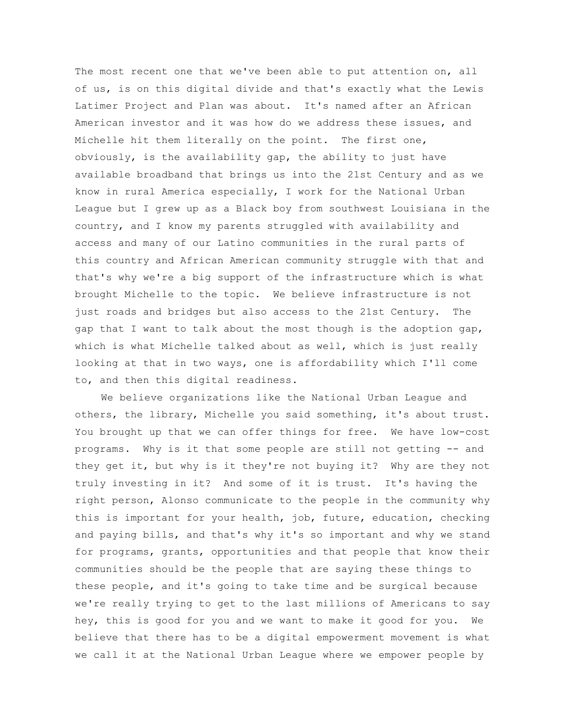The most recent one that we've been able to put attention on, all of us, is on this digital divide and that's exactly what the Lewis Latimer Project and Plan was about. It's named after an African American investor and it was how do we address these issues, and Michelle hit them literally on the point. The first one, obviously, is the availability gap, the ability to just have available broadband that brings us into the 21st Century and as we know in rural America especially, I work for the National Urban League but I grew up as a Black boy from southwest Louisiana in the country, and I know my parents struggled with availability and access and many of our Latino communities in the rural parts of this country and African American community struggle with that and that's why we're a big support of the infrastructure which is what brought Michelle to the topic. We believe infrastructure is not just roads and bridges but also access to the 21st Century. The gap that I want to talk about the most though is the adoption gap, which is what Michelle talked about as well, which is just really looking at that in two ways, one is affordability which I'll come to, and then this digital readiness.

We believe organizations like the National Urban League and others, the library, Michelle you said something, it's about trust. You brought up that we can offer things for free. We have low-cost programs. Why is it that some people are still not getting -- and they get it, but why is it they're not buying it? Why are they not truly investing in it? And some of it is trust. It's having the right person, Alonso communicate to the people in the community why this is important for your health, job, future, education, checking and paying bills, and that's why it's so important and why we stand for programs, grants, opportunities and that people that know their communities should be the people that are saying these things to these people, and it's going to take time and be surgical because we're really trying to get to the last millions of Americans to say hey, this is good for you and we want to make it good for you. We believe that there has to be a digital empowerment movement is what we call it at the National Urban League where we empower people by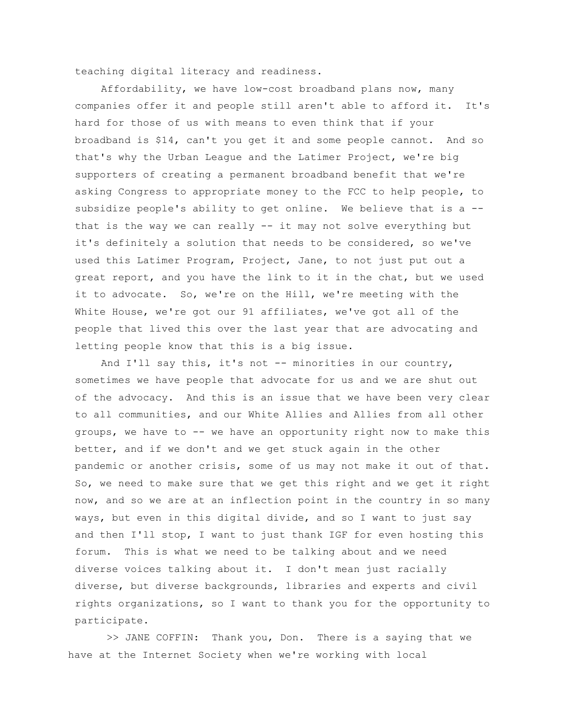teaching digital literacy and readiness.

Affordability, we have low-cost broadband plans now, many companies offer it and people still aren't able to afford it. It's hard for those of us with means to even think that if your broadband is \$14, can't you get it and some people cannot. And so that's why the Urban League and the Latimer Project, we're big supporters of creating a permanent broadband benefit that we're asking Congress to appropriate money to the FCC to help people, to subsidize people's ability to get online. We believe that is a - that is the way we can really  $-$  it may not solve everything but it's definitely a solution that needs to be considered, so we've used this Latimer Program, Project, Jane, to not just put out a great report, and you have the link to it in the chat, but we used it to advocate. So, we're on the Hill, we're meeting with the White House, we're got our 91 affiliates, we've got all of the people that lived this over the last year that are advocating and letting people know that this is a big issue.

And I'll say this, it's not -- minorities in our country, sometimes we have people that advocate for us and we are shut out of the advocacy. And this is an issue that we have been very clear to all communities, and our White Allies and Allies from all other groups, we have to -- we have an opportunity right now to make this better, and if we don't and we get stuck again in the other pandemic or another crisis, some of us may not make it out of that. So, we need to make sure that we get this right and we get it right now, and so we are at an inflection point in the country in so many ways, but even in this digital divide, and so I want to just say and then I'll stop, I want to just thank IGF for even hosting this forum. This is what we need to be talking about and we need diverse voices talking about it. I don't mean just racially diverse, but diverse backgrounds, libraries and experts and civil rights organizations, so I want to thank you for the opportunity to participate.

>> JANE COFFIN: Thank you, Don. There is a saying that we have at the Internet Society when we're working with local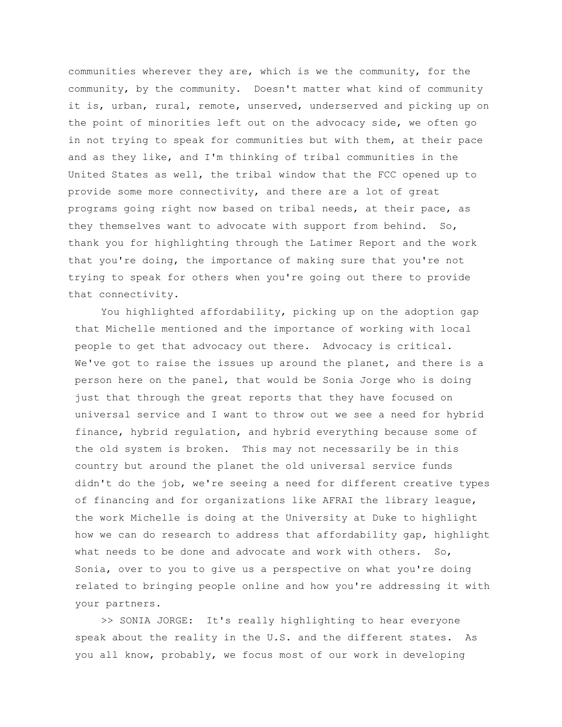communities wherever they are, which is we the community, for the community, by the community. Doesn't matter what kind of community it is, urban, rural, remote, unserved, underserved and picking up on the point of minorities left out on the advocacy side, we often go in not trying to speak for communities but with them, at their pace and as they like, and I'm thinking of tribal communities in the United States as well, the tribal window that the FCC opened up to provide some more connectivity, and there are a lot of great programs going right now based on tribal needs, at their pace, as they themselves want to advocate with support from behind. So, thank you for highlighting through the Latimer Report and the work that you're doing, the importance of making sure that you're not trying to speak for others when you're going out there to provide that connectivity.

You highlighted affordability, picking up on the adoption gap that Michelle mentioned and the importance of working with local people to get that advocacy out there. Advocacy is critical. We've got to raise the issues up around the planet, and there is a person here on the panel, that would be Sonia Jorge who is doing just that through the great reports that they have focused on universal service and I want to throw out we see a need for hybrid finance, hybrid regulation, and hybrid everything because some of the old system is broken. This may not necessarily be in this country but around the planet the old universal service funds didn't do the job, we're seeing a need for different creative types of financing and for organizations like AFRAI the library league, the work Michelle is doing at the University at Duke to highlight how we can do research to address that affordability gap, highlight what needs to be done and advocate and work with others. So, Sonia, over to you to give us a perspective on what you're doing related to bringing people online and how you're addressing it with your partners.

>> SONIA JORGE: It's really highlighting to hear everyone speak about the reality in the U.S. and the different states. As you all know, probably, we focus most of our work in developing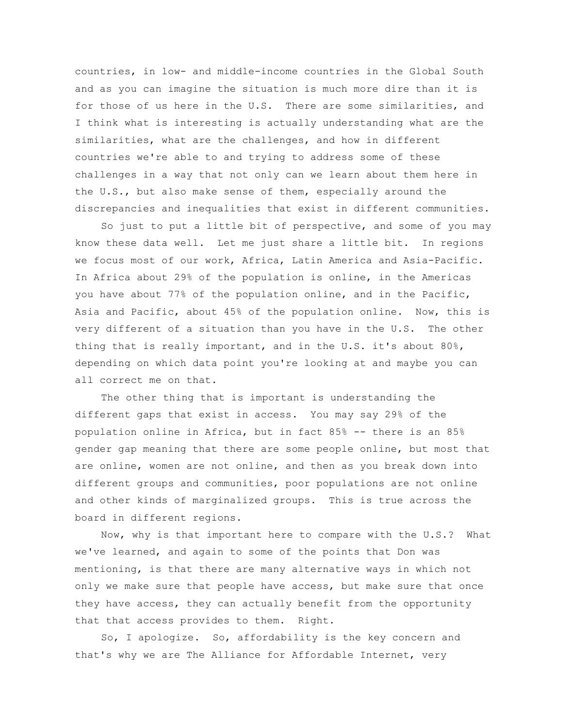countries, in low- and middle-income countries in the Global South and as you can imagine the situation is much more dire than it is for those of us here in the U.S. There are some similarities, and I think what is interesting is actually understanding what are the similarities, what are the challenges, and how in different countries we're able to and trying to address some of these challenges in a way that not only can we learn about them here in the U.S., but also make sense of them, especially around the discrepancies and inequalities that exist in different communities.

So just to put a little bit of perspective, and some of you may know these data well. Let me just share a little bit. In regions we focus most of our work, Africa, Latin America and Asia-Pacific. In Africa about 29% of the population is online, in the Americas you have about 77% of the population online, and in the Pacific, Asia and Pacific, about 45% of the population online. Now, this is very different of a situation than you have in the U.S. The other thing that is really important, and in the U.S. it's about 80%, depending on which data point you're looking at and maybe you can all correct me on that.

The other thing that is important is understanding the different gaps that exist in access. You may say 29% of the population online in Africa, but in fact 85% -- there is an 85% gender gap meaning that there are some people online, but most that are online, women are not online, and then as you break down into different groups and communities, poor populations are not online and other kinds of marginalized groups. This is true across the board in different regions.

Now, why is that important here to compare with the U.S.? What we've learned, and again to some of the points that Don was mentioning, is that there are many alternative ways in which not only we make sure that people have access, but make sure that once they have access, they can actually benefit from the opportunity that that access provides to them. Right.

So, I apologize. So, affordability is the key concern and that's why we are The Alliance for Affordable Internet, very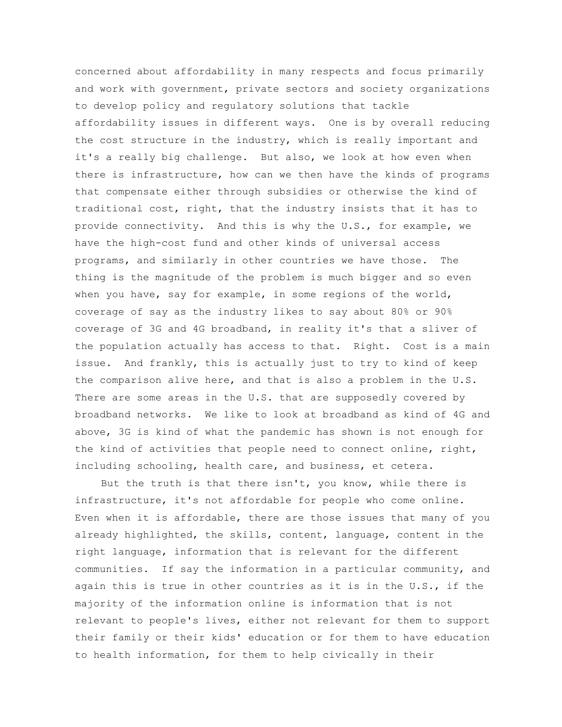concerned about affordability in many respects and focus primarily and work with government, private sectors and society organizations to develop policy and regulatory solutions that tackle affordability issues in different ways. One is by overall reducing the cost structure in the industry, which is really important and it's a really big challenge. But also, we look at how even when there is infrastructure, how can we then have the kinds of programs that compensate either through subsidies or otherwise the kind of traditional cost, right, that the industry insists that it has to provide connectivity. And this is why the U.S., for example, we have the high-cost fund and other kinds of universal access programs, and similarly in other countries we have those. The thing is the magnitude of the problem is much bigger and so even when you have, say for example, in some regions of the world, coverage of say as the industry likes to say about 80% or 90% coverage of 3G and 4G broadband, in reality it's that a sliver of the population actually has access to that. Right. Cost is a main issue. And frankly, this is actually just to try to kind of keep the comparison alive here, and that is also a problem in the U.S. There are some areas in the U.S. that are supposedly covered by broadband networks. We like to look at broadband as kind of 4G and above, 3G is kind of what the pandemic has shown is not enough for the kind of activities that people need to connect online, right, including schooling, health care, and business, et cetera.

But the truth is that there isn't, you know, while there is infrastructure, it's not affordable for people who come online. Even when it is affordable, there are those issues that many of you already highlighted, the skills, content, language, content in the right language, information that is relevant for the different communities. If say the information in a particular community, and again this is true in other countries as it is in the U.S., if the majority of the information online is information that is not relevant to people's lives, either not relevant for them to support their family or their kids' education or for them to have education to health information, for them to help civically in their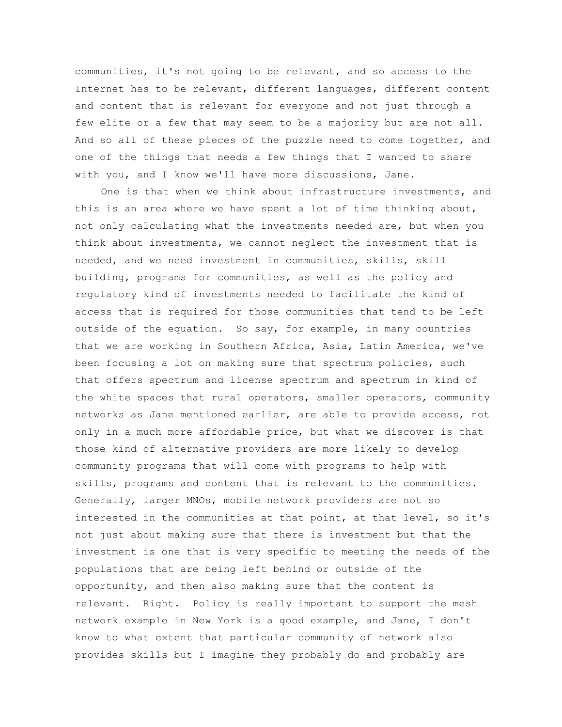communities, it's not going to be relevant, and so access to the Internet has to be relevant, different languages, different content and content that is relevant for everyone and not just through a few elite or a few that may seem to be a majority but are not all. And so all of these pieces of the puzzle need to come together, and one of the things that needs a few things that I wanted to share with you, and I know we'll have more discussions, Jane.

One is that when we think about infrastructure investments, and this is an area where we have spent a lot of time thinking about, not only calculating what the investments needed are, but when you think about investments, we cannot neglect the investment that is needed, and we need investment in communities, skills, skill building, programs for communities, as well as the policy and regulatory kind of investments needed to facilitate the kind of access that is required for those communities that tend to be left outside of the equation. So say, for example, in many countries that we are working in Southern Africa, Asia, Latin America, we've been focusing a lot on making sure that spectrum policies, such that offers spectrum and license spectrum and spectrum in kind of the white spaces that rural operators, smaller operators, community networks as Jane mentioned earlier, are able to provide access, not only in a much more affordable price, but what we discover is that those kind of alternative providers are more likely to develop community programs that will come with programs to help with skills, programs and content that is relevant to the communities. Generally, larger MNOs, mobile network providers are not so interested in the communities at that point, at that level, so it's not just about making sure that there is investment but that the investment is one that is very specific to meeting the needs of the populations that are being left behind or outside of the opportunity, and then also making sure that the content is relevant. Right. Policy is really important to support the mesh network example in New York is a good example, and Jane, I don't know to what extent that particular community of network also provides skills but I imagine they probably do and probably are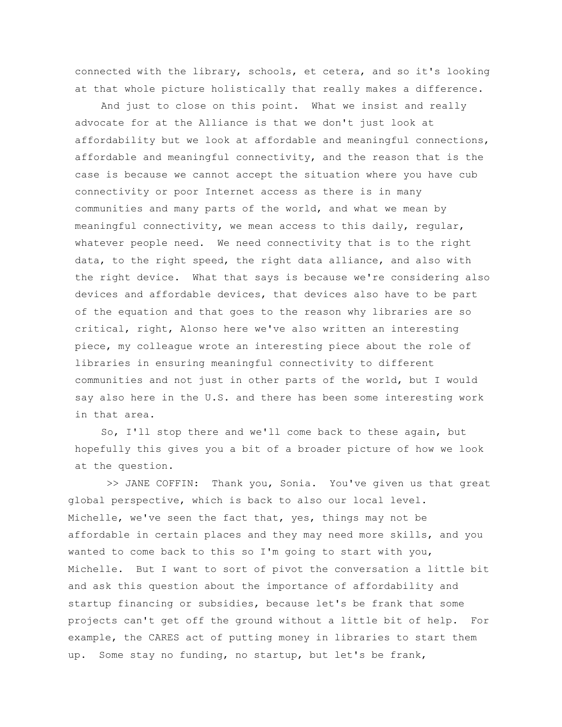connected with the library, schools, et cetera, and so it's looking at that whole picture holistically that really makes a difference.

And just to close on this point. What we insist and really advocate for at the Alliance is that we don't just look at affordability but we look at affordable and meaningful connections, affordable and meaningful connectivity, and the reason that is the case is because we cannot accept the situation where you have cub connectivity or poor Internet access as there is in many communities and many parts of the world, and what we mean by meaningful connectivity, we mean access to this daily, regular, whatever people need. We need connectivity that is to the right data, to the right speed, the right data alliance, and also with the right device. What that says is because we're considering also devices and affordable devices, that devices also have to be part of the equation and that goes to the reason why libraries are so critical, right, Alonso here we've also written an interesting piece, my colleague wrote an interesting piece about the role of libraries in ensuring meaningful connectivity to different communities and not just in other parts of the world, but I would say also here in the U.S. and there has been some interesting work in that area.

So, I'll stop there and we'll come back to these again, but hopefully this gives you a bit of a broader picture of how we look at the question.

>> JANE COFFIN: Thank you, Sonia. You've given us that great global perspective, which is back to also our local level. Michelle, we've seen the fact that, yes, things may not be affordable in certain places and they may need more skills, and you wanted to come back to this so I'm going to start with you, Michelle. But I want to sort of pivot the conversation a little bit and ask this question about the importance of affordability and startup financing or subsidies, because let's be frank that some projects can't get off the ground without a little bit of help. For example, the CARES act of putting money in libraries to start them up. Some stay no funding, no startup, but let's be frank,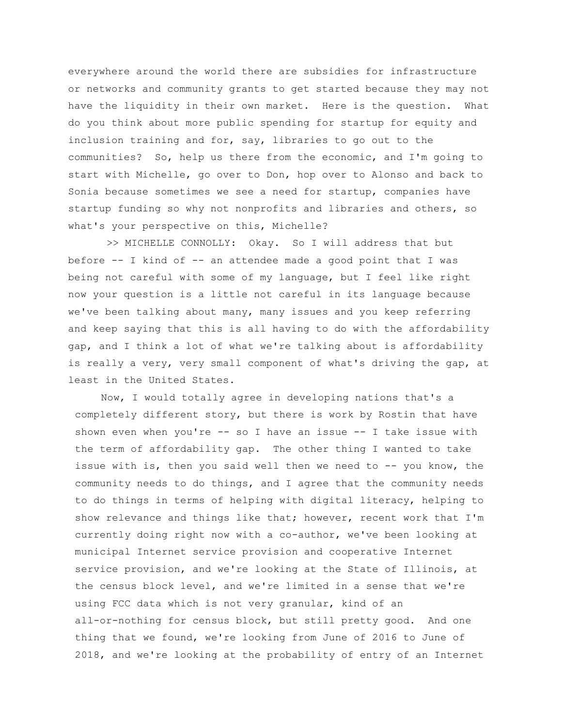everywhere around the world there are subsidies for infrastructure or networks and community grants to get started because they may not have the liquidity in their own market. Here is the question. What do you think about more public spending for startup for equity and inclusion training and for, say, libraries to go out to the communities? So, help us there from the economic, and I'm going to start with Michelle, go over to Don, hop over to Alonso and back to Sonia because sometimes we see a need for startup, companies have startup funding so why not nonprofits and libraries and others, so what's your perspective on this, Michelle?

>> MICHELLE CONNOLLY: Okay. So I will address that but before -- I kind of -- an attendee made a good point that I was being not careful with some of my language, but I feel like right now your question is a little not careful in its language because we've been talking about many, many issues and you keep referring and keep saying that this is all having to do with the affordability gap, and I think a lot of what we're talking about is affordability is really a very, very small component of what's driving the gap, at least in the United States.

Now, I would totally agree in developing nations that's a completely different story, but there is work by Rostin that have shown even when you're -- so I have an issue -- I take issue with the term of affordability gap. The other thing I wanted to take issue with is, then you said well then we need to -- you know, the community needs to do things, and I agree that the community needs to do things in terms of helping with digital literacy, helping to show relevance and things like that; however, recent work that I'm currently doing right now with a co-author, we've been looking at municipal Internet service provision and cooperative Internet service provision, and we're looking at the State of Illinois, at the census block level, and we're limited in a sense that we're using FCC data which is not very granular, kind of an all-or-nothing for census block, but still pretty good. And one thing that we found, we're looking from June of 2016 to June of 2018, and we're looking at the probability of entry of an Internet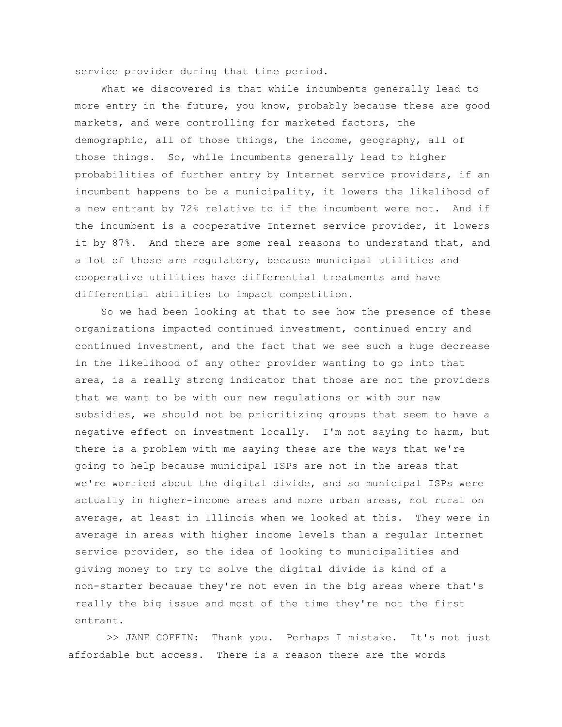service provider during that time period.

What we discovered is that while incumbents generally lead to more entry in the future, you know, probably because these are good markets, and were controlling for marketed factors, the demographic, all of those things, the income, geography, all of those things. So, while incumbents generally lead to higher probabilities of further entry by Internet service providers, if an incumbent happens to be a municipality, it lowers the likelihood of a new entrant by 72% relative to if the incumbent were not. And if the incumbent is a cooperative Internet service provider, it lowers it by 87%. And there are some real reasons to understand that, and a lot of those are regulatory, because municipal utilities and cooperative utilities have differential treatments and have differential abilities to impact competition.

So we had been looking at that to see how the presence of these organizations impacted continued investment, continued entry and continued investment, and the fact that we see such a huge decrease in the likelihood of any other provider wanting to go into that area, is a really strong indicator that those are not the providers that we want to be with our new regulations or with our new subsidies, we should not be prioritizing groups that seem to have a negative effect on investment locally. I'm not saying to harm, but there is a problem with me saying these are the ways that we're going to help because municipal ISPs are not in the areas that we're worried about the digital divide, and so municipal ISPs were actually in higher-income areas and more urban areas, not rural on average, at least in Illinois when we looked at this. They were in average in areas with higher income levels than a regular Internet service provider, so the idea of looking to municipalities and giving money to try to solve the digital divide is kind of a non-starter because they're not even in the big areas where that's really the big issue and most of the time they're not the first entrant.

>> JANE COFFIN: Thank you. Perhaps I mistake. It's not just affordable but access. There is a reason there are the words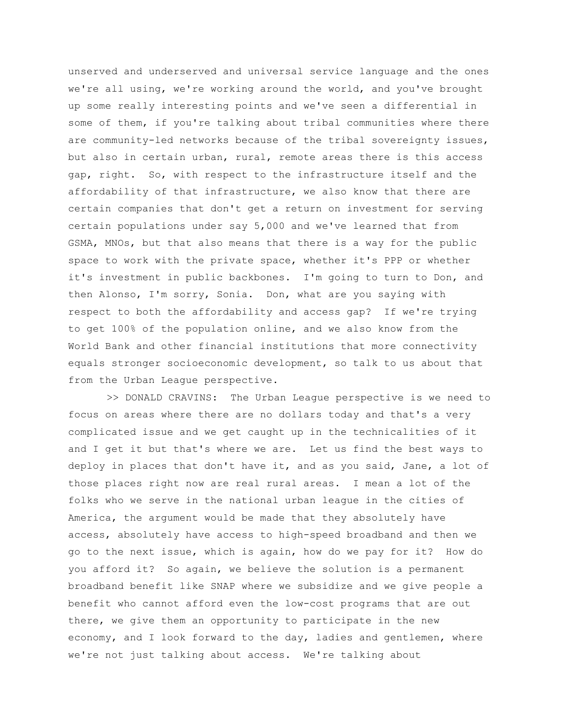unserved and underserved and universal service language and the ones we're all using, we're working around the world, and you've brought up some really interesting points and we've seen a differential in some of them, if you're talking about tribal communities where there are community-led networks because of the tribal sovereignty issues, but also in certain urban, rural, remote areas there is this access gap, right. So, with respect to the infrastructure itself and the affordability of that infrastructure, we also know that there are certain companies that don't get a return on investment for serving certain populations under say 5,000 and we've learned that from GSMA, MNOs, but that also means that there is a way for the public space to work with the private space, whether it's PPP or whether it's investment in public backbones. I'm going to turn to Don, and then Alonso, I'm sorry, Sonia. Don, what are you saying with respect to both the affordability and access gap? If we're trying to get 100% of the population online, and we also know from the World Bank and other financial institutions that more connectivity equals stronger socioeconomic development, so talk to us about that from the Urban League perspective.

>> DONALD CRAVINS: The Urban League perspective is we need to focus on areas where there are no dollars today and that's a very complicated issue and we get caught up in the technicalities of it and I get it but that's where we are. Let us find the best ways to deploy in places that don't have it, and as you said, Jane, a lot of those places right now are real rural areas. I mean a lot of the folks who we serve in the national urban league in the cities of America, the argument would be made that they absolutely have access, absolutely have access to high-speed broadband and then we go to the next issue, which is again, how do we pay for it? How do you afford it? So again, we believe the solution is a permanent broadband benefit like SNAP where we subsidize and we give people a benefit who cannot afford even the low-cost programs that are out there, we give them an opportunity to participate in the new economy, and I look forward to the day, ladies and gentlemen, where we're not just talking about access. We're talking about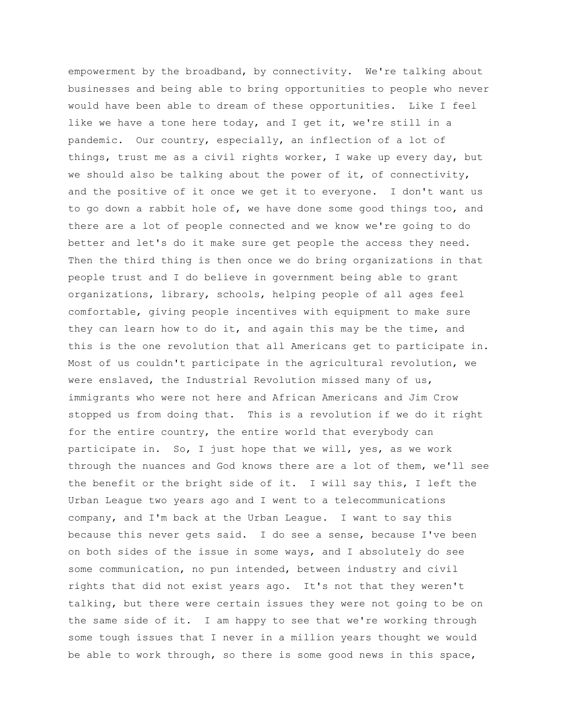empowerment by the broadband, by connectivity. We're talking about businesses and being able to bring opportunities to people who never would have been able to dream of these opportunities. Like I feel like we have a tone here today, and I get it, we're still in a pandemic. Our country, especially, an inflection of a lot of things, trust me as a civil rights worker, I wake up every day, but we should also be talking about the power of it, of connectivity, and the positive of it once we get it to everyone. I don't want us to go down a rabbit hole of, we have done some good things too, and there are a lot of people connected and we know we're going to do better and let's do it make sure get people the access they need. Then the third thing is then once we do bring organizations in that people trust and I do believe in government being able to grant organizations, library, schools, helping people of all ages feel comfortable, giving people incentives with equipment to make sure they can learn how to do it, and again this may be the time, and this is the one revolution that all Americans get to participate in. Most of us couldn't participate in the agricultural revolution, we were enslaved, the Industrial Revolution missed many of us, immigrants who were not here and African Americans and Jim Crow stopped us from doing that. This is a revolution if we do it right for the entire country, the entire world that everybody can participate in. So, I just hope that we will, yes, as we work through the nuances and God knows there are a lot of them, we'll see the benefit or the bright side of it. I will say this, I left the Urban League two years ago and I went to a telecommunications company, and I'm back at the Urban League. I want to say this because this never gets said. I do see a sense, because I've been on both sides of the issue in some ways, and I absolutely do see some communication, no pun intended, between industry and civil rights that did not exist years ago. It's not that they weren't talking, but there were certain issues they were not going to be on the same side of it. I am happy to see that we're working through some tough issues that I never in a million years thought we would be able to work through, so there is some good news in this space,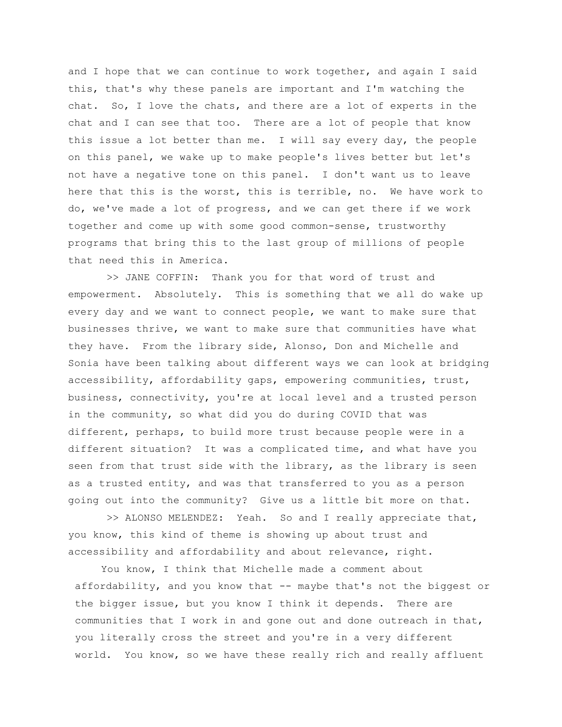and I hope that we can continue to work together, and again I said this, that's why these panels are important and I'm watching the chat. So, I love the chats, and there are a lot of experts in the chat and I can see that too. There are a lot of people that know this issue a lot better than me. I will say every day, the people on this panel, we wake up to make people's lives better but let's not have a negative tone on this panel. I don't want us to leave here that this is the worst, this is terrible, no. We have work to do, we've made a lot of progress, and we can get there if we work together and come up with some good common-sense, trustworthy programs that bring this to the last group of millions of people that need this in America.

>> JANE COFFIN: Thank you for that word of trust and empowerment. Absolutely. This is something that we all do wake up every day and we want to connect people, we want to make sure that businesses thrive, we want to make sure that communities have what they have. From the library side, Alonso, Don and Michelle and Sonia have been talking about different ways we can look at bridging accessibility, affordability gaps, empowering communities, trust, business, connectivity, you're at local level and a trusted person in the community, so what did you do during COVID that was different, perhaps, to build more trust because people were in a different situation? It was a complicated time, and what have you seen from that trust side with the library, as the library is seen as a trusted entity, and was that transferred to you as a person going out into the community? Give us a little bit more on that.

>> ALONSO MELENDEZ: Yeah. So and I really appreciate that, you know, this kind of theme is showing up about trust and accessibility and affordability and about relevance, right.

You know, I think that Michelle made a comment about affordability, and you know that -- maybe that's not the biggest or the bigger issue, but you know I think it depends. There are communities that I work in and gone out and done outreach in that, you literally cross the street and you're in a very different world. You know, so we have these really rich and really affluent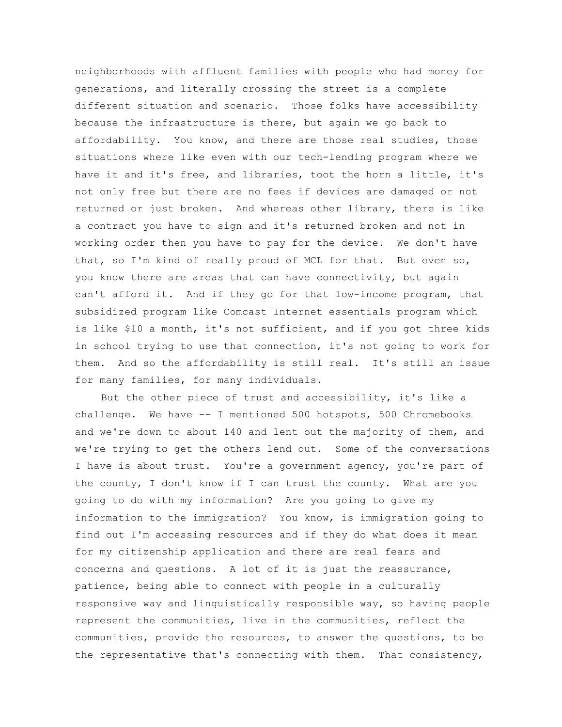neighborhoods with affluent families with people who had money for generations, and literally crossing the street is a complete different situation and scenario. Those folks have accessibility because the infrastructure is there, but again we go back to affordability. You know, and there are those real studies, those situations where like even with our tech-lending program where we have it and it's free, and libraries, toot the horn a little, it's not only free but there are no fees if devices are damaged or not returned or just broken. And whereas other library, there is like a contract you have to sign and it's returned broken and not in working order then you have to pay for the device. We don't have that, so I'm kind of really proud of MCL for that. But even so, you know there are areas that can have connectivity, but again can't afford it. And if they go for that low-income program, that subsidized program like Comcast Internet essentials program which is like \$10 a month, it's not sufficient, and if you got three kids in school trying to use that connection, it's not going to work for them. And so the affordability is still real. It's still an issue for many families, for many individuals.

But the other piece of trust and accessibility, it's like a challenge. We have -- I mentioned 500 hotspots, 500 Chromebooks and we're down to about 140 and lent out the majority of them, and we're trying to get the others lend out. Some of the conversations I have is about trust. You're a government agency, you're part of the county, I don't know if I can trust the county. What are you going to do with my information? Are you going to give my information to the immigration? You know, is immigration going to find out I'm accessing resources and if they do what does it mean for my citizenship application and there are real fears and concerns and questions. A lot of it is just the reassurance, patience, being able to connect with people in a culturally responsive way and linguistically responsible way, so having people represent the communities, live in the communities, reflect the communities, provide the resources, to answer the questions, to be the representative that's connecting with them. That consistency,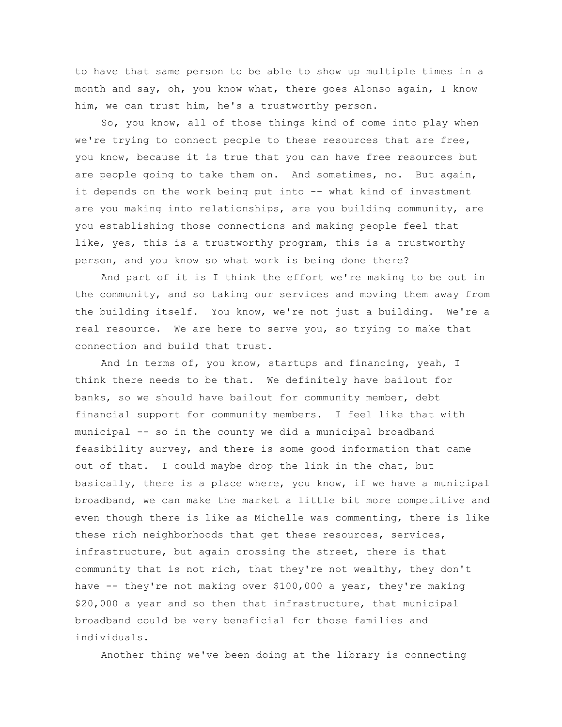to have that same person to be able to show up multiple times in a month and say, oh, you know what, there goes Alonso again, I know him, we can trust him, he's a trustworthy person.

So, you know, all of those things kind of come into play when we're trying to connect people to these resources that are free, you know, because it is true that you can have free resources but are people going to take them on. And sometimes, no. But again, it depends on the work being put into -- what kind of investment are you making into relationships, are you building community, are you establishing those connections and making people feel that like, yes, this is a trustworthy program, this is a trustworthy person, and you know so what work is being done there?

And part of it is I think the effort we're making to be out in the community, and so taking our services and moving them away from the building itself. You know, we're not just a building. We're a real resource. We are here to serve you, so trying to make that connection and build that trust.

And in terms of, you know, startups and financing, yeah, I think there needs to be that. We definitely have bailout for banks, so we should have bailout for community member, debt financial support for community members. I feel like that with municipal -- so in the county we did a municipal broadband feasibility survey, and there is some good information that came out of that. I could maybe drop the link in the chat, but basically, there is a place where, you know, if we have a municipal broadband, we can make the market a little bit more competitive and even though there is like as Michelle was commenting, there is like these rich neighborhoods that get these resources, services, infrastructure, but again crossing the street, there is that community that is not rich, that they're not wealthy, they don't have -- they're not making over \$100,000 a year, they're making \$20,000 a year and so then that infrastructure, that municipal broadband could be very beneficial for those families and individuals.

Another thing we've been doing at the library is connecting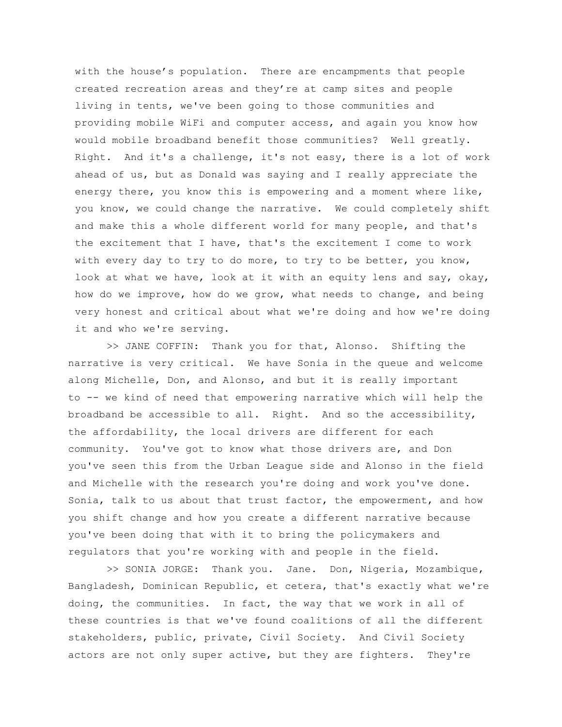with the house's population. There are encampments that people created recreation areas and they're at camp sites and people living in tents, we've been going to those communities and providing mobile WiFi and computer access, and again you know how would mobile broadband benefit those communities? Well greatly. Right. And it's a challenge, it's not easy, there is a lot of work ahead of us, but as Donald was saying and I really appreciate the energy there, you know this is empowering and a moment where like, you know, we could change the narrative. We could completely shift and make this a whole different world for many people, and that's the excitement that I have, that's the excitement I come to work with every day to try to do more, to try to be better, you know, look at what we have, look at it with an equity lens and say, okay, how do we improve, how do we grow, what needs to change, and being very honest and critical about what we're doing and how we're doing it and who we're serving.

>> JANE COFFIN: Thank you for that, Alonso. Shifting the narrative is very critical. We have Sonia in the queue and welcome along Michelle, Don, and Alonso, and but it is really important to -- we kind of need that empowering narrative which will help the broadband be accessible to all. Right. And so the accessibility, the affordability, the local drivers are different for each community. You've got to know what those drivers are, and Don you've seen this from the Urban League side and Alonso in the field and Michelle with the research you're doing and work you've done. Sonia, talk to us about that trust factor, the empowerment, and how you shift change and how you create a different narrative because you've been doing that with it to bring the policymakers and regulators that you're working with and people in the field.

>> SONIA JORGE: Thank you. Jane. Don, Nigeria, Mozambique, Bangladesh, Dominican Republic, et cetera, that's exactly what we're doing, the communities. In fact, the way that we work in all of these countries is that we've found coalitions of all the different stakeholders, public, private, Civil Society. And Civil Society actors are not only super active, but they are fighters. They're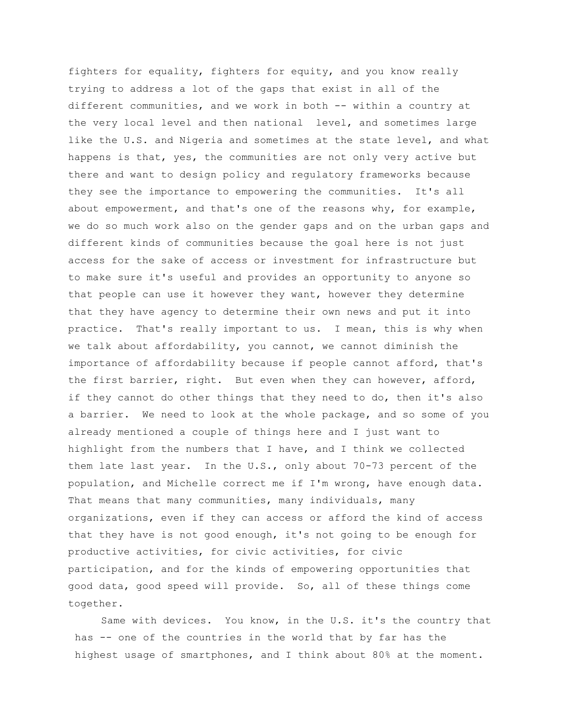fighters for equality, fighters for equity, and you know really trying to address a lot of the gaps that exist in all of the different communities, and we work in both -- within a country at the very local level and then national level, and sometimes large like the U.S. and Nigeria and sometimes at the state level, and what happens is that, yes, the communities are not only very active but there and want to design policy and regulatory frameworks because they see the importance to empowering the communities. It's all about empowerment, and that's one of the reasons why, for example, we do so much work also on the gender gaps and on the urban gaps and different kinds of communities because the goal here is not just access for the sake of access or investment for infrastructure but to make sure it's useful and provides an opportunity to anyone so that people can use it however they want, however they determine that they have agency to determine their own news and put it into practice. That's really important to us. I mean, this is why when we talk about affordability, you cannot, we cannot diminish the importance of affordability because if people cannot afford, that's the first barrier, right. But even when they can however, afford, if they cannot do other things that they need to do, then it's also a barrier. We need to look at the whole package, and so some of you already mentioned a couple of things here and I just want to highlight from the numbers that I have, and I think we collected them late last year. In the U.S., only about 70-73 percent of the population, and Michelle correct me if I'm wrong, have enough data. That means that many communities, many individuals, many organizations, even if they can access or afford the kind of access that they have is not good enough, it's not going to be enough for productive activities, for civic activities, for civic participation, and for the kinds of empowering opportunities that good data, good speed will provide. So, all of these things come together.

Same with devices. You know, in the U.S. it's the country that has -- one of the countries in the world that by far has the highest usage of smartphones, and I think about 80% at the moment.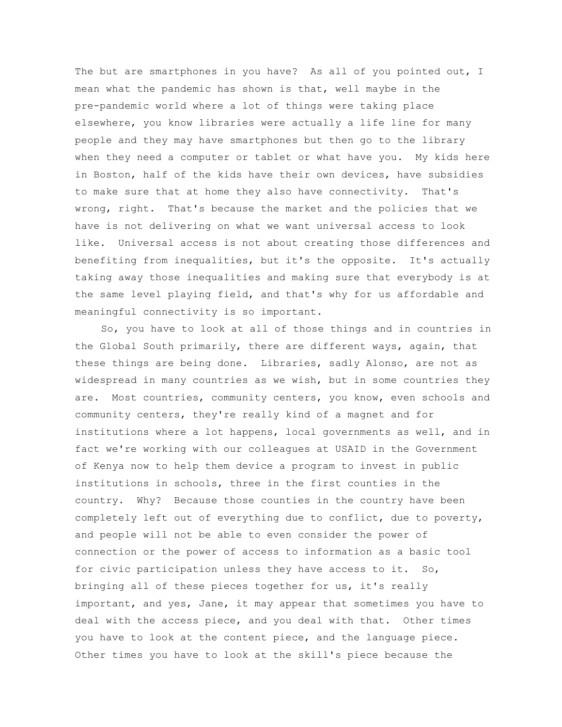The but are smartphones in you have? As all of you pointed out, I mean what the pandemic has shown is that, well maybe in the pre-pandemic world where a lot of things were taking place elsewhere, you know libraries were actually a life line for many people and they may have smartphones but then go to the library when they need a computer or tablet or what have you. My kids here in Boston, half of the kids have their own devices, have subsidies to make sure that at home they also have connectivity. That's wrong, right. That's because the market and the policies that we have is not delivering on what we want universal access to look like. Universal access is not about creating those differences and benefiting from inequalities, but it's the opposite. It's actually taking away those inequalities and making sure that everybody is at the same level playing field, and that's why for us affordable and meaningful connectivity is so important.

So, you have to look at all of those things and in countries in the Global South primarily, there are different ways, again, that these things are being done. Libraries, sadly Alonso, are not as widespread in many countries as we wish, but in some countries they are. Most countries, community centers, you know, even schools and community centers, they're really kind of a magnet and for institutions where a lot happens, local governments as well, and in fact we're working with our colleagues at USAID in the Government of Kenya now to help them device a program to invest in public institutions in schools, three in the first counties in the country. Why? Because those counties in the country have been completely left out of everything due to conflict, due to poverty, and people will not be able to even consider the power of connection or the power of access to information as a basic tool for civic participation unless they have access to it. So, bringing all of these pieces together for us, it's really important, and yes, Jane, it may appear that sometimes you have to deal with the access piece, and you deal with that. Other times you have to look at the content piece, and the language piece. Other times you have to look at the skill's piece because the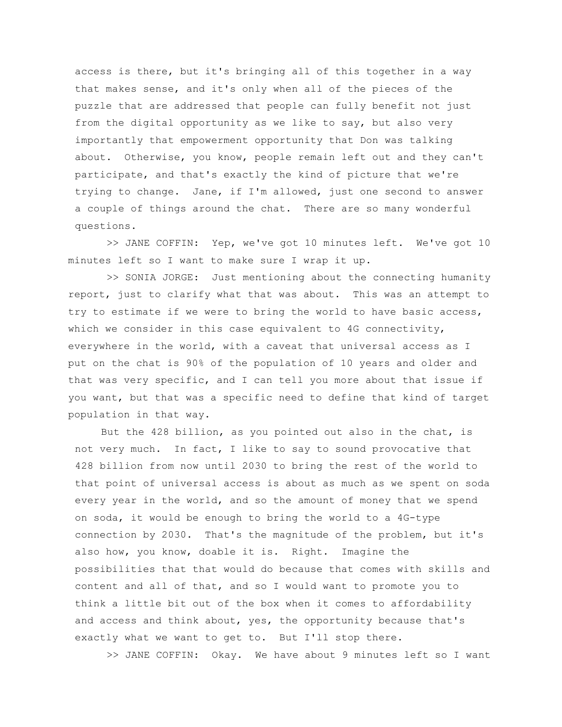access is there, but it's bringing all of this together in a way that makes sense, and it's only when all of the pieces of the puzzle that are addressed that people can fully benefit not just from the digital opportunity as we like to say, but also very importantly that empowerment opportunity that Don was talking about. Otherwise, you know, people remain left out and they can't participate, and that's exactly the kind of picture that we're trying to change. Jane, if I'm allowed, just one second to answer a couple of things around the chat. There are so many wonderful questions.

>> JANE COFFIN: Yep, we've got 10 minutes left. We've got 10 minutes left so I want to make sure I wrap it up.

>> SONIA JORGE: Just mentioning about the connecting humanity report, just to clarify what that was about. This was an attempt to try to estimate if we were to bring the world to have basic access, which we consider in this case equivalent to 4G connectivity, everywhere in the world, with a caveat that universal access as I put on the chat is 90% of the population of 10 years and older and that was very specific, and I can tell you more about that issue if you want, but that was a specific need to define that kind of target population in that way.

But the 428 billion, as you pointed out also in the chat, is not very much. In fact, I like to say to sound provocative that 428 billion from now until 2030 to bring the rest of the world to that point of universal access is about as much as we spent on soda every year in the world, and so the amount of money that we spend on soda, it would be enough to bring the world to a 4G-type connection by 2030. That's the magnitude of the problem, but it's also how, you know, doable it is. Right. Imagine the possibilities that that would do because that comes with skills and content and all of that, and so I would want to promote you to think a little bit out of the box when it comes to affordability and access and think about, yes, the opportunity because that's exactly what we want to get to. But I'll stop there.

>> JANE COFFIN: Okay. We have about 9 minutes left so I want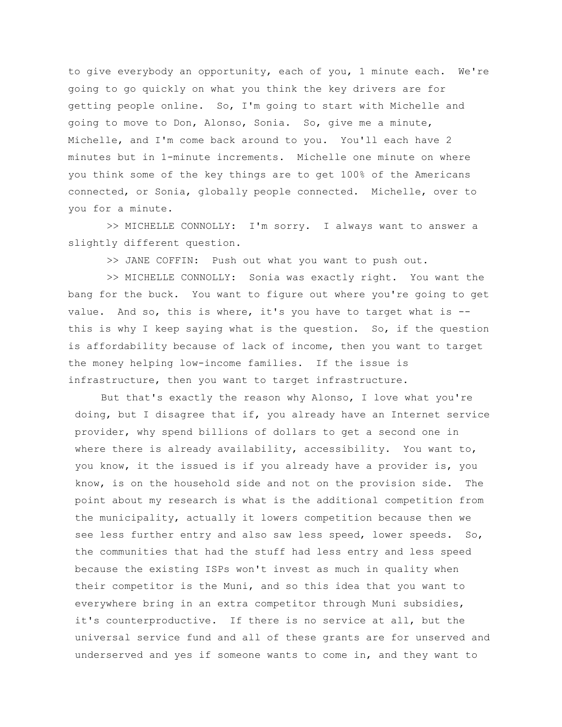to give everybody an opportunity, each of you, 1 minute each. We're going to go quickly on what you think the key drivers are for getting people online. So, I'm going to start with Michelle and going to move to Don, Alonso, Sonia. So, give me a minute, Michelle, and I'm come back around to you. You'll each have 2 minutes but in 1-minute increments. Michelle one minute on where you think some of the key things are to get 100% of the Americans connected, or Sonia, globally people connected. Michelle, over to you for a minute.

>> MICHELLE CONNOLLY: I'm sorry. I always want to answer a slightly different question.

>> JANE COFFIN: Push out what you want to push out.

>> MICHELLE CONNOLLY: Sonia was exactly right. You want the bang for the buck. You want to figure out where you're going to get value. And so, this is where, it's you have to target what is - this is why I keep saying what is the question. So, if the question is affordability because of lack of income, then you want to target the money helping low-income families. If the issue is infrastructure, then you want to target infrastructure.

But that's exactly the reason why Alonso, I love what you're doing, but I disagree that if, you already have an Internet service provider, why spend billions of dollars to get a second one in where there is already availability, accessibility. You want to, you know, it the issued is if you already have a provider is, you know, is on the household side and not on the provision side. The point about my research is what is the additional competition from the municipality, actually it lowers competition because then we see less further entry and also saw less speed, lower speeds. So, the communities that had the stuff had less entry and less speed because the existing ISPs won't invest as much in quality when their competitor is the Muni, and so this idea that you want to everywhere bring in an extra competitor through Muni subsidies, it's counterproductive. If there is no service at all, but the universal service fund and all of these grants are for unserved and underserved and yes if someone wants to come in, and they want to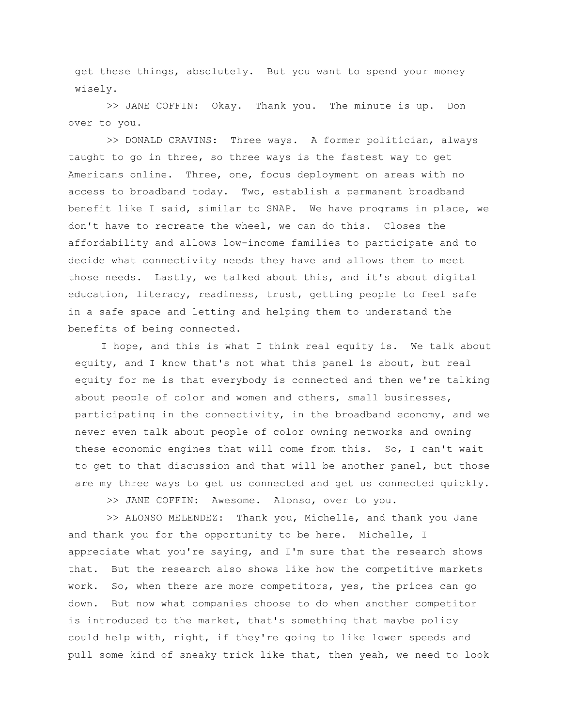get these things, absolutely. But you want to spend your money wisely.

>> JANE COFFIN: Okay. Thank you. The minute is up. Don over to you.

>> DONALD CRAVINS: Three ways. A former politician, always taught to go in three, so three ways is the fastest way to get Americans online. Three, one, focus deployment on areas with no access to broadband today. Two, establish a permanent broadband benefit like I said, similar to SNAP. We have programs in place, we don't have to recreate the wheel, we can do this. Closes the affordability and allows low-income families to participate and to decide what connectivity needs they have and allows them to meet those needs. Lastly, we talked about this, and it's about digital education, literacy, readiness, trust, getting people to feel safe in a safe space and letting and helping them to understand the benefits of being connected.

I hope, and this is what I think real equity is. We talk about equity, and I know that's not what this panel is about, but real equity for me is that everybody is connected and then we're talking about people of color and women and others, small businesses, participating in the connectivity, in the broadband economy, and we never even talk about people of color owning networks and owning these economic engines that will come from this. So, I can't wait to get to that discussion and that will be another panel, but those are my three ways to get us connected and get us connected quickly.

>> JANE COFFIN: Awesome. Alonso, over to you.

>> ALONSO MELENDEZ: Thank you, Michelle, and thank you Jane and thank you for the opportunity to be here. Michelle, I appreciate what you're saying, and I'm sure that the research shows that. But the research also shows like how the competitive markets work. So, when there are more competitors, yes, the prices can go down. But now what companies choose to do when another competitor is introduced to the market, that's something that maybe policy could help with, right, if they're going to like lower speeds and pull some kind of sneaky trick like that, then yeah, we need to look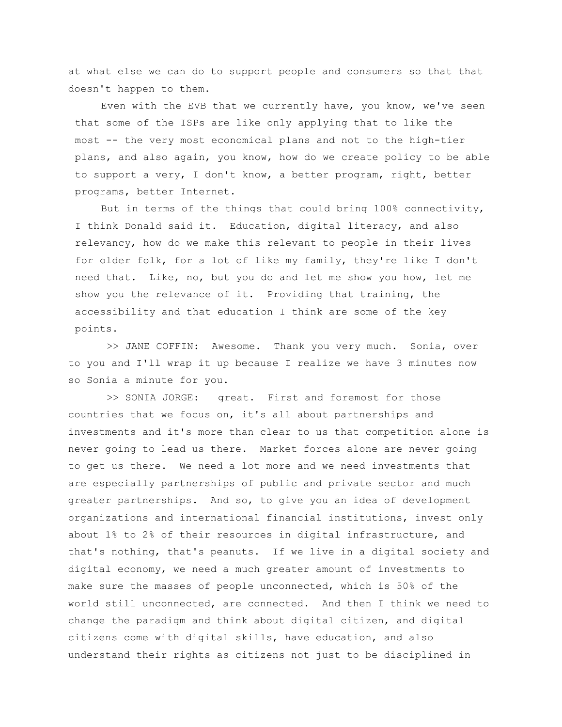at what else we can do to support people and consumers so that that doesn't happen to them.

Even with the EVB that we currently have, you know, we've seen that some of the ISPs are like only applying that to like the most -- the very most economical plans and not to the high-tier plans, and also again, you know, how do we create policy to be able to support a very, I don't know, a better program, right, better programs, better Internet.

But in terms of the things that could bring 100% connectivity, I think Donald said it. Education, digital literacy, and also relevancy, how do we make this relevant to people in their lives for older folk, for a lot of like my family, they're like I don't need that. Like, no, but you do and let me show you how, let me show you the relevance of it. Providing that training, the accessibility and that education I think are some of the key points.

>> JANE COFFIN: Awesome. Thank you very much. Sonia, over to you and I'll wrap it up because I realize we have 3 minutes now so Sonia a minute for you.

>> SONIA JORGE: great. First and foremost for those countries that we focus on, it's all about partnerships and investments and it's more than clear to us that competition alone is never going to lead us there. Market forces alone are never going to get us there. We need a lot more and we need investments that are especially partnerships of public and private sector and much greater partnerships. And so, to give you an idea of development organizations and international financial institutions, invest only about 1% to 2% of their resources in digital infrastructure, and that's nothing, that's peanuts. If we live in a digital society and digital economy, we need a much greater amount of investments to make sure the masses of people unconnected, which is 50% of the world still unconnected, are connected. And then I think we need to change the paradigm and think about digital citizen, and digital citizens come with digital skills, have education, and also understand their rights as citizens not just to be disciplined in